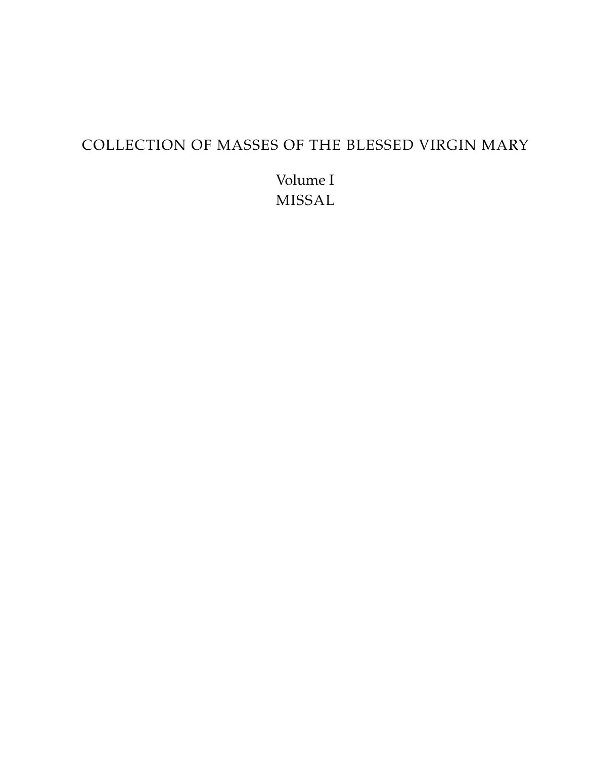## COLLECTION OF MASSES OF THE BLESSED VIRGIN MARY

Volume I MISSAL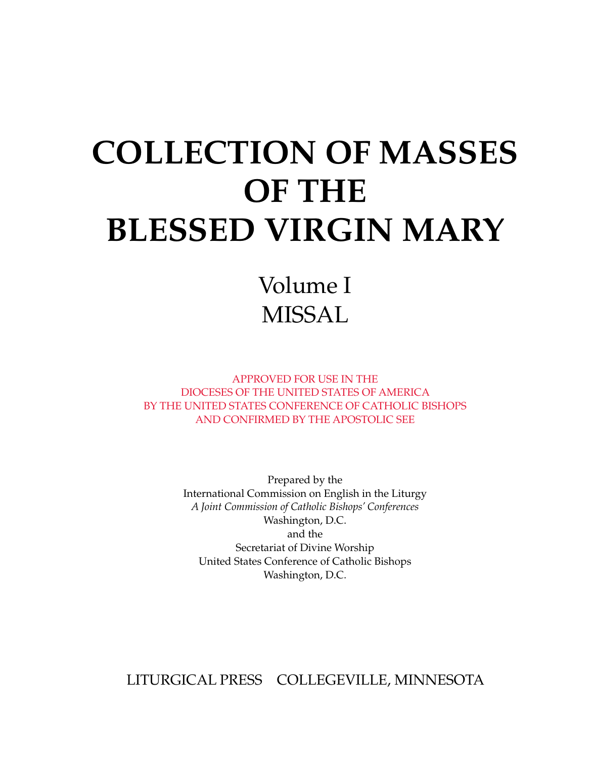# **COLLECTION OF MASSES OF THE BLESSED VIRGIN MARY**

Volume I MISSAL

APPROVED FOR USE IN THE DIOCESES OF THE UNITED STATES OF AMERICA BY THE UNITED STATES CONFERENCE OF CATHOLIC BISHOPS AND CONFIRMED BY THE APOSTOLIC SEE

> Prepared by the International Commission on English in the Liturgy *A Joint Commission of Catholic Bishops' Conferences* Washington, D.C. and the Secretariat of Divine Worship United States Conference of Catholic Bishops Washington, D.C.

Liturgical Press Collegeville, Minnesota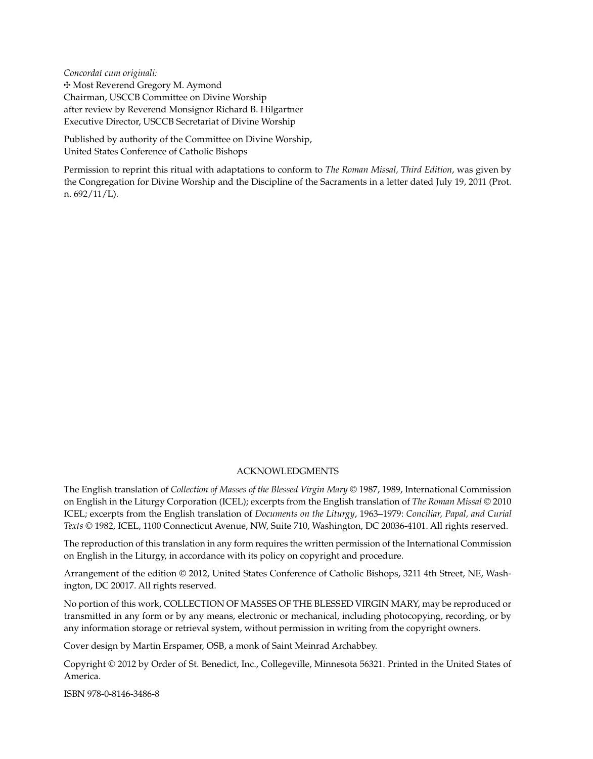*Concordat cum originali:* W Most Reverend Gregory M. Aymond Chairman, USCCB Committee on Divine Worship after review by Reverend Monsignor Richard B. Hilgartner Executive Director, USCCB Secretariat of Divine Worship

Published by authority of the Committee on Divine Worship, United States Conference of Catholic Bishops

Permission to reprint this ritual with adaptations to conform to *The Roman Missal, Third Edition*, was given by the Congregation for Divine Worship and the Discipline of the Sacraments in a letter dated July 19, 2011 (Prot. n. 692/11/L).

#### ACKNOWLEDGMENTS

The English translation of *Collection of Masses of the Blessed Virgin Mary* © 1987, 1989, International Commission on English in the Liturgy Corporation (ICEL); excerpts from the English translation of *The Roman Missal* © 2010 ICEL; excerpts from the English translation of *Documents on the Liturgy*, 1963–1979: *Conciliar, Papal, and Curial Texts* © 1982, ICEL, 1100 Connecticut Avenue, NW, Suite 710, Washington, DC 20036-4101. All rights reserved.

The reproduction of this translation in any form requires the written permission of the International Commission on English in the Liturgy, in accordance with its policy on copyright and procedure.

Arrangement of the edition © 2012, United States Conference of Catholic Bishops, 3211 4th Street, NE, Washington, DC 20017. All rights reserved.

No portion of this work, COLLECTION OF MASSES OF THE BLESSED VIRGIN MARY, may be reproduced or transmitted in any form or by any means, electronic or mechanical, including photocopying, recording, or by any information storage or retrieval system, without permission in writing from the copyright owners.

Cover design by Martin Erspamer, OSB, a monk of Saint Meinrad Archabbey.

Copyright © 2012 by Order of St. Benedict, Inc., Collegeville, Minnesota 56321. Printed in the United States of America.

ISBN 978-0-8146-3486-8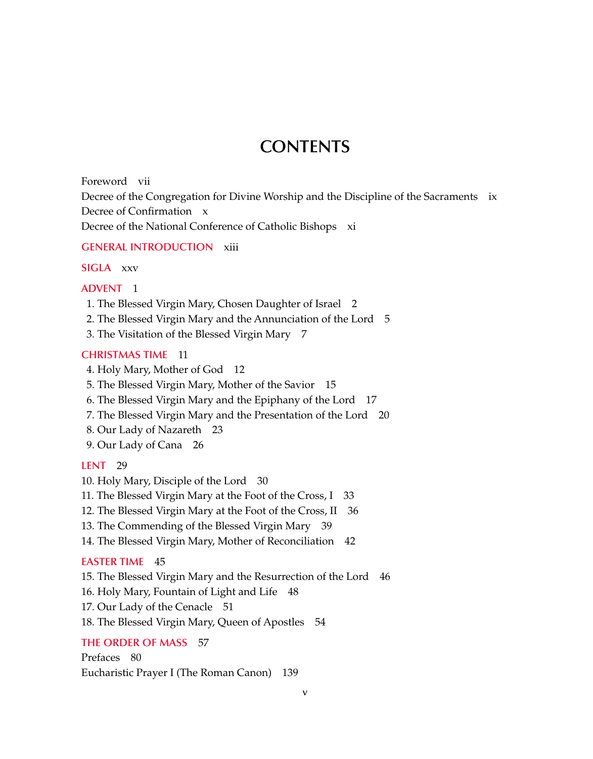## **CONTENTS**

Foreword vii

Decree of the Congregation for Divine Worship and the Discipline of the Sacraments ix Decree of Confirmation x

Decree of the National Conference of Catholic Bishops xi

#### **GENERAL INTRODUCTION** xiii

#### **SIGLA** xxv

#### **ADVENT** 1

- 1. The Blessed Virgin Mary, Chosen Daughter of Israel 2
- 2. The Blessed Virgin Mary and the Annunciation of the Lord 5
- 3. The Visitation of the Blessed Virgin Mary 7

#### **CHRISTMAS TIME** 11

- 4. Holy Mary, Mother of God 12
- 5. The Blessed Virgin Mary, Mother of the Savior 15
- 6. The Blessed Virgin Mary and the Epiphany of the Lord 17
- 7. The Blessed Virgin Mary and the Presentation of the Lord 20
- 8. Our Lady of Nazareth 23
- 9. Our Lady of Cana 26

#### **LENT** 29

- 10. Holy Mary, Disciple of the Lord 30
- 11. The Blessed Virgin Mary at the Foot of the Cross, I 33
- 12. The Blessed Virgin Mary at the Foot of the Cross, II 36
- 13. The Commending of the Blessed Virgin Mary 39
- 14. The Blessed Virgin Mary, Mother of Reconciliation 42

#### **EASTER TIME** 45

15. The Blessed Virgin Mary and the Resurrection of the Lord 46

16. Holy Mary, Fountain of Light and Life 48

17. Our Lady of the Cenacle 51

18. The Blessed Virgin Mary, Queen of Apostles 54

#### **THE ORDER OF MASS** 57

Prefaces 80 Eucharistic Prayer I (The Roman Canon) 139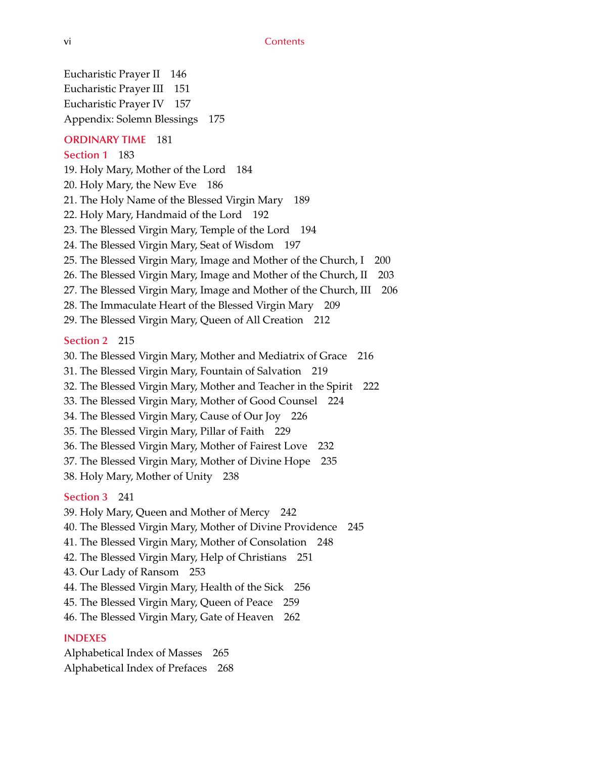Eucharistic Prayer II 146 Eucharistic Prayer III 151 Eucharistic Prayer IV 157 Appendix: Solemn Blessings 175

#### **ORDINARY TIME** 181

#### **Section 1** 183

- 19. Holy Mary, Mother of the Lord 184
- 20. Holy Mary, the New Eve 186
- 21. The Holy Name of the Blessed Virgin Mary 189
- 22. Holy Mary, Handmaid of the Lord 192
- 23. The Blessed Virgin Mary, Temple of the Lord 194
- 24. The Blessed Virgin Mary, Seat of Wisdom 197
- 25. The Blessed Virgin Mary, Image and Mother of the Church, I 200
- 26. The Blessed Virgin Mary, Image and Mother of the Church, II 203
- 27. The Blessed Virgin Mary, Image and Mother of the Church, III 206
- 28. The Immaculate Heart of the Blessed Virgin Mary 209
- 29. The Blessed Virgin Mary, Queen of All Creation 212

#### **Section 2** 215

- 30. The Blessed Virgin Mary, Mother and Mediatrix of Grace 216
- 31. The Blessed Virgin Mary, Fountain of Salvation 219
- 32. The Blessed Virgin Mary, Mother and Teacher in the Spirit 222
- 33. The Blessed Virgin Mary, Mother of Good Counsel 224
- 34. The Blessed Virgin Mary, Cause of Our Joy 226
- 35. The Blessed Virgin Mary, Pillar of Faith 229
- 36. The Blessed Virgin Mary, Mother of Fairest Love 232
- 37. The Blessed Virgin Mary, Mother of Divine Hope 235
- 38. Holy Mary, Mother of Unity 238

#### **Section 3** 241

- 39. Holy Mary, Queen and Mother of Mercy 242
- 40. The Blessed Virgin Mary, Mother of Divine Providence 245
- 41. The Blessed Virgin Mary, Mother of Consolation 248
- 42. The Blessed Virgin Mary, Help of Christians 251
- 43. Our Lady of Ransom 253
- 44. The Blessed Virgin Mary, Health of the Sick 256
- 45. The Blessed Virgin Mary, Queen of Peace 259
- 46. The Blessed Virgin Mary, Gate of Heaven 262

#### **INDEXES**

Alphabetical Index of Masses 265 Alphabetical Index of Prefaces 268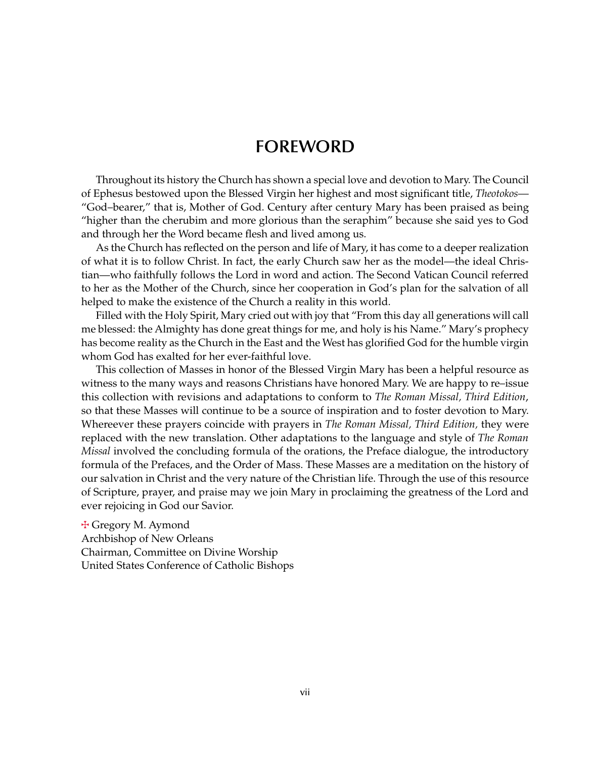## **FOREWORD**

Throughout its history the Church has shown a special love and devotion to Mary. The Council of Ephesus bestowed upon the Blessed Virgin her highest and most significant title, *Theotokos*— "God–bearer," that is, Mother of God. Century after century Mary has been praised as being "higher than the cherubim and more glorious than the seraphim" because she said yes to God and through her the Word became flesh and lived among us.

As the Church has reflected on the person and life of Mary, it has come to a deeper realization of what it is to follow Christ. In fact, the early Church saw her as the model—the ideal Christian—who faithfully follows the Lord in word and action. The Second Vatican Council referred to her as the Mother of the Church, since her cooperation in God's plan for the salvation of all helped to make the existence of the Church a reality in this world.

Filled with the Holy Spirit, Mary cried out with joy that "From this day all generations will call me blessed: the Almighty has done great things for me, and holy is his Name." Mary's prophecy has become reality as the Church in the East and the West has glorified God for the humble virgin whom God has exalted for her ever-faithful love.

This collection of Masses in honor of the Blessed Virgin Mary has been a helpful resource as witness to the many ways and reasons Christians have honored Mary. We are happy to re–issue this collection with revisions and adaptations to conform to *The Roman Missal, Third Edition*, so that these Masses will continue to be a source of inspiration and to foster devotion to Mary. Whereever these prayers coincide with prayers in *The Roman Missal, Third Edition,* they were replaced with the new translation. Other adaptations to the language and style of *The Roman Missal* involved the concluding formula of the orations, the Preface dialogue, the introductory formula of the Prefaces, and the Order of Mass. These Masses are a meditation on the history of our salvation in Christ and the very nature of the Christian life. Through the use of this resource of Scripture, prayer, and praise may we join Mary in proclaiming the greatness of the Lord and ever rejoicing in God our Savior.

 $\pm$  Gregory M. Aymond Archbishop of New Orleans Chairman, Committee on Divine Worship United States Conference of Catholic Bishops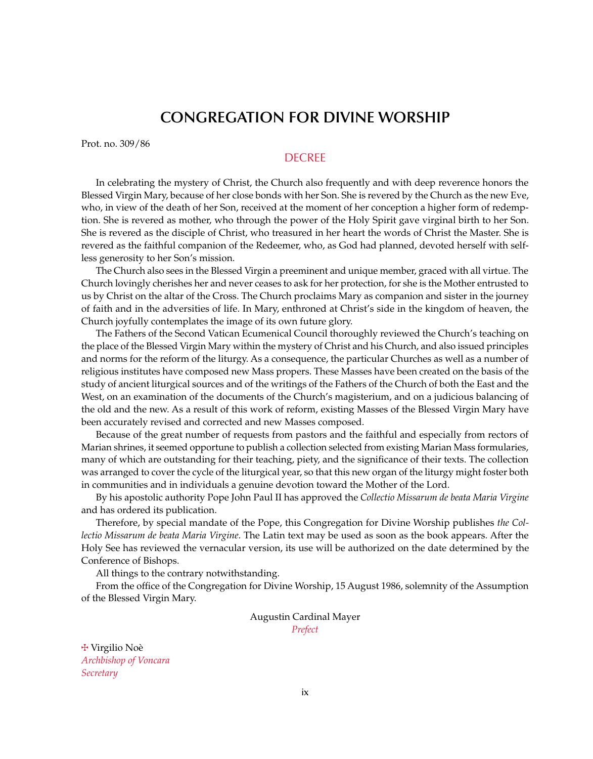## **CONGREGATION FOR DIVINE WORSHIP**

Prot. no. 309/86

#### **DECREE**

In celebrating the mystery of Christ, the Church also frequently and with deep reverence honors the Blessed Virgin Mary, because of her close bonds with her Son. She is revered by the Church as the new Eve, who, in view of the death of her Son, received at the moment of her conception a higher form of redemption. She is revered as mother, who through the power of the Holy Spirit gave virginal birth to her Son. She is revered as the disciple of Christ, who treasured in her heart the words of Christ the Master. She is revered as the faithful companion of the Redeemer, who, as God had planned, devoted herself with selfless generosity to her Son's mission.

The Church also sees in the Blessed Virgin a preeminent and unique member, graced with all virtue. The Church lovingly cherishes her and never ceases to ask for her protection, for she is the Mother entrusted to us by Christ on the altar of the Cross. The Church proclaims Mary as companion and sister in the journey of faith and in the adversities of life. In Mary, enthroned at Christ's side in the kingdom of heaven, the Church joyfully contemplates the image of its own future glory.

The Fathers of the Second Vatican Ecumenical Council thoroughly reviewed the Church's teaching on the place of the Blessed Virgin Mary within the mystery of Christ and his Church, and also issued principles and norms for the reform of the liturgy. As a consequence, the particular Churches as well as a number of religious institutes have composed new Mass propers. These Masses have been created on the basis of the study of ancient liturgical sources and of the writings of the Fathers of the Church of both the East and the West, on an examination of the documents of the Church's magisterium, and on a judicious balancing of the old and the new. As a result of this work of reform, existing Masses of the Blessed Virgin Mary have been accurately revised and corrected and new Masses composed.

Because of the great number of requests from pastors and the faithful and especially from rectors of Marian shrines, it seemed opportune to publish a collection selected from existing Marian Mass formularies, many of which are outstanding for their teaching, piety, and the significance of their texts. The collection was arranged to cover the cycle of the liturgical year, so that this new organ of the liturgy might foster both in communities and in individuals a genuine devotion toward the Mother of the Lord.

By his apostolic authority Pope John Paul II has approved the *Collectio Missarum de beata Maria Virgine* and has ordered its publication.

Therefore, by special mandate of the Pope, this Congregation for Divine Worship publishes *the Collectio Missarum de beata Maria Virgine*. The Latin text may be used as soon as the book appears. After the Holy See has reviewed the vernacular version, its use will be authorized on the date determined by the Conference of Bishops.

All things to the contrary notwithstanding.

From the office of the Congregation for Divine Worship, 15 August 1986, solemnity of the Assumption of the Blessed Virgin Mary.

> Augustin Cardinal Mayer *Prefect*

W Virgilio Noè *Archbishop of Voncara Secretary*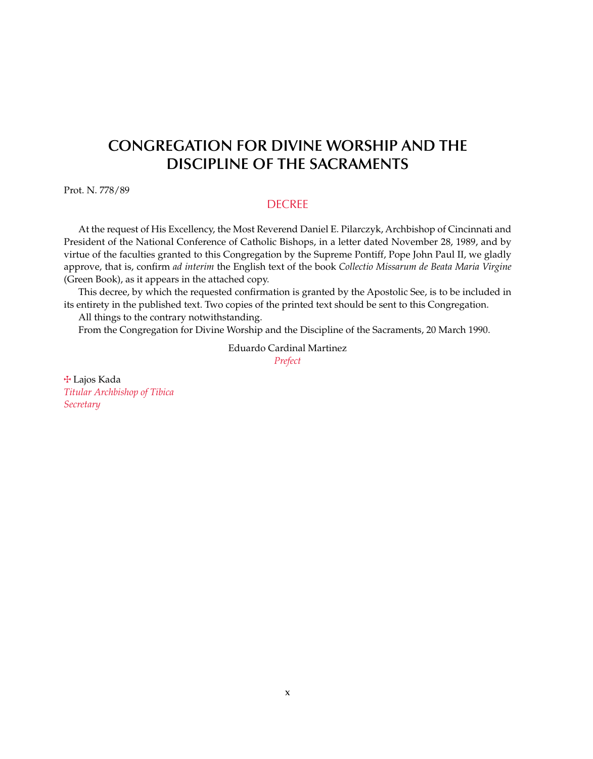## **CONGREGATION FOR DIVINE WORSHIP AND THE DISCIPLINE OF THE SACRAMENTS**

Prot. N. 778/89

#### DECREE

At the request of His Excellency, the Most Reverend Daniel E. Pilarczyk, Archbishop of Cincinnati and President of the National Conference of Catholic Bishops, in a letter dated November 28, 1989, and by virtue of the faculties granted to this Congregation by the Supreme Pontiff, Pope John Paul II, we gladly approve, that is, confirm *ad interim* the English text of the book *Collectio Missarum de Beata Maria Virgine* (Green Book), as it appears in the attached copy.

This decree, by which the requested confirmation is granted by the Apostolic See, is to be included in its entirety in the published text. Two copies of the printed text should be sent to this Congregation.

All things to the contrary notwithstanding.

From the Congregation for Divine Worship and the Discipline of the Sacraments, 20 March 1990.

Eduardo Cardinal Martinez *Prefect*

W Lajos Kada *Titular Archbishop of Tibica Secretary*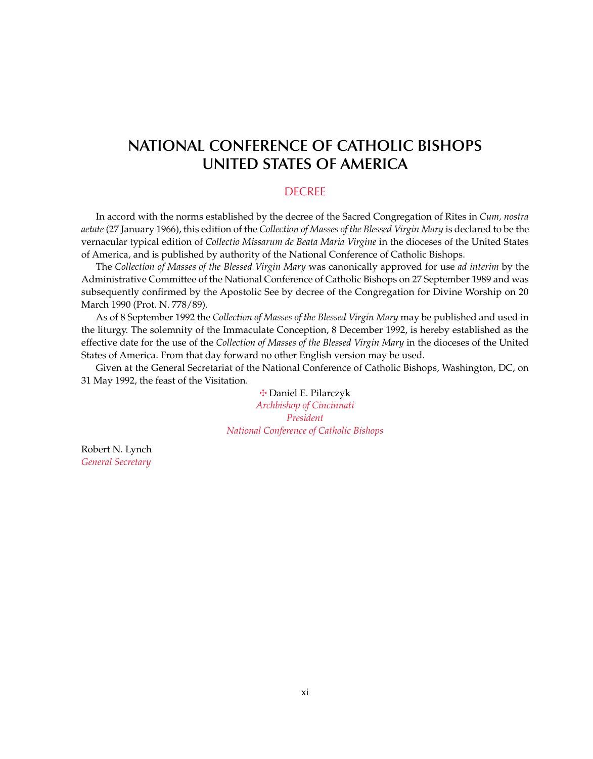## **NATIONAL CONFERENCE OF CATHOLIC BISHOPS UNITED STATES OF AMERICA**

#### **DECREE**

In accord with the norms established by the decree of the Sacred Congregation of Rites in *Cum, nostra aetate* (27 January 1966), this edition of the *Collection of Masses of the Blessed Virgin Mary* is declared to be the vernacular typical edition of *Collectio Missarum de Beata Maria Virgine* in the dioceses of the United States of America, and is published by authority of the National Conference of Catholic Bishops.

The *Collection of Masses of the Blessed Virgin Mary* was canonically approved for use *ad interim* by the Administrative Committee of the National Conference of Catholic Bishops on 27 September 1989 and was subsequently confirmed by the Apostolic See by decree of the Congregation for Divine Worship on 20 March 1990 (Prot. N. 778/89).

As of 8 September 1992 the *Collection of Masses of the Blessed Virgin Mary* may be published and used in the liturgy. The solemnity of the Immaculate Conception, 8 December 1992, is hereby established as the effective date for the use of the *Collection of Masses of the Blessed Virgin Mary* in the dioceses of the United States of America. From that day forward no other English version may be used.

Given at the General Secretariat of the National Conference of Catholic Bishops, Washington, DC, on 31 May 1992, the feast of the Visitation.

> W Daniel E. Pilarczyk *Archbishop of Cincinnati President National Conference of Catholic Bishops*

Robert N. Lynch *General Secretary*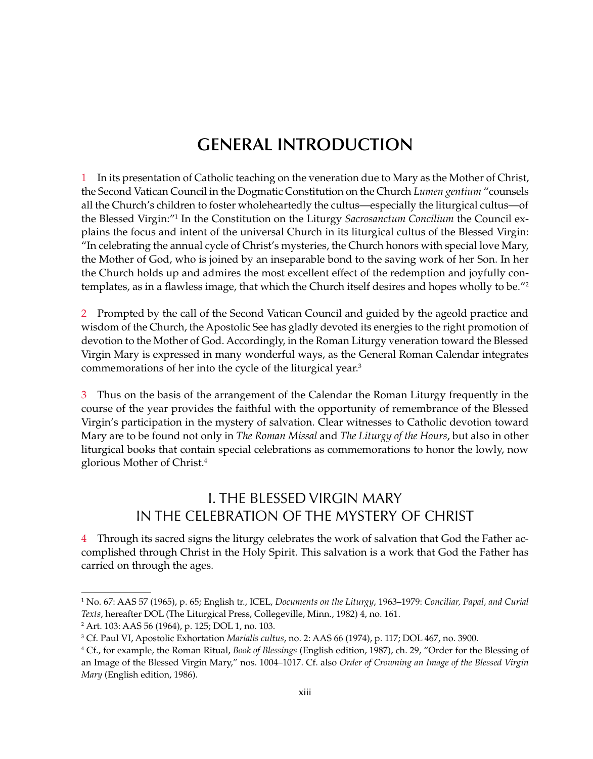## **GENERAL INTRODUCTION**

1 In its presentation of Catholic teaching on the veneration due to Mary as the Mother of Christ, the Second Vatican Council in the Dogmatic Constitution on the Church *Lumen gentium* "counsels all the Church's children to foster wholeheartedly the cultus—especially the liturgical cultus—of the Blessed Virgin:"1 In the Constitution on the Liturgy *Sacrosanctum Concilium* the Council explains the focus and intent of the universal Church in its liturgical cultus of the Blessed Virgin: "In celebrating the annual cycle of Christ's mysteries, the Church honors with special love Mary, the Mother of God, who is joined by an inseparable bond to the saving work of her Son. In her the Church holds up and admires the most excellent effect of the redemption and joyfully contemplates, as in a flawless image, that which the Church itself desires and hopes wholly to be."2

2 Prompted by the call of the Second Vatican Council and guided by the ageold practice and wisdom of the Church, the Apostolic See has gladly devoted its energies to the right promotion of devotion to the Mother of God. Accordingly, in the Roman Liturgy veneration toward the Blessed Virgin Mary is expressed in many wonderful ways, as the General Roman Calendar integrates commemorations of her into the cycle of the liturgical year.<sup>3</sup>

3 Thus on the basis of the arrangement of the Calendar the Roman Liturgy frequently in the course of the year provides the faithful with the opportunity of remembrance of the Blessed Virgin's participation in the mystery of salvation. Clear witnesses to Catholic devotion toward Mary are to be found not only in *The Roman Missal* and *The Liturgy of the Hours*, but also in other liturgical books that contain special celebrations as commemorations to honor the lowly, now glorious Mother of Christ.4

## I. THE BLESSED VIRGIN MARY IN THE CELEBRATION OF THE MYSTERY OF CHRIST

4 Through its sacred signs the liturgy celebrates the work of salvation that God the Father accomplished through Christ in the Holy Spirit. This salvation is a work that God the Father has carried on through the ages.

<sup>1</sup> No. 67: AAS 57 (1965), p. 65; English tr., ICEL, *Documents on the Liturgy*, 1963–1979: *Conciliar, Papal, and Curial Texts*, hereafter DOL (The Liturgical Press, Collegeville, Minn., 1982) 4, no. 161.

<sup>2</sup> Art. 103: AAS 56 (1964), p. 125; DOL 1, no. 103.

<sup>3</sup> Cf. Paul VI, Apostolic Exhortation *Marialis cultus*, no. 2: AAS 66 (1974), p. 117; DOL 467, no. 3900.

<sup>4</sup> Cf., for example, the Roman Ritual, *Book of Blessings* (English edition, 1987), ch. 29, "Order for the Blessing of an Image of the Blessed Virgin Mary," nos. 1004–1017. Cf. also *Order of Crowning an Image of the Blessed Virgin Mary* (English edition, 1986).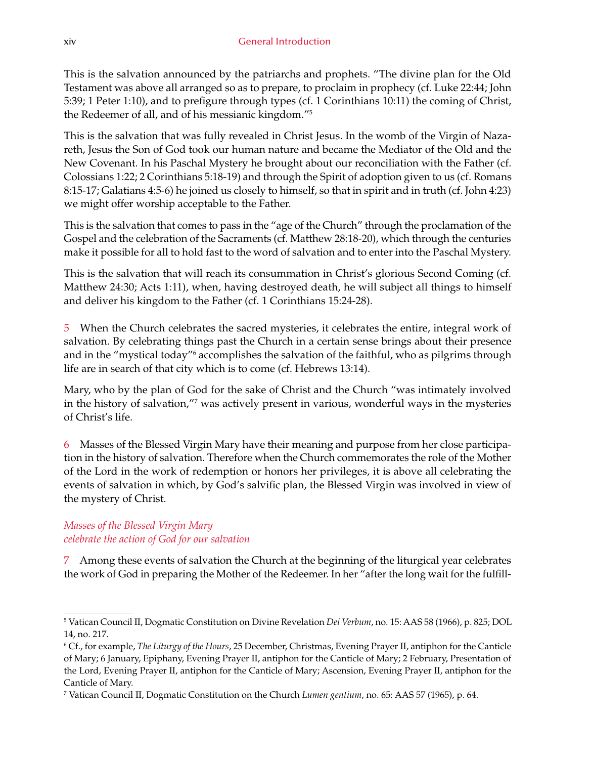This is the salvation announced by the patriarchs and prophets. "The divine plan for the Old Testament was above all arranged so as to prepare, to proclaim in prophecy (cf. Luke 22:44; John 5:39; 1 Peter 1:10), and to prefigure through types (cf. 1 Corinthians 10:11) the coming of Christ, the Redeemer of all, and of his messianic kingdom."5

This is the salvation that was fully revealed in Christ Jesus. In the womb of the Virgin of Nazareth, Jesus the Son of God took our human nature and became the Mediator of the Old and the New Covenant. In his Paschal Mystery he brought about our reconciliation with the Father (cf. Colossians 1:22; 2 Corinthians 5:18-19) and through the Spirit of adoption given to us (cf. Romans 8:15-17; Galatians 4:5-6) he joined us closely to himself, so that in spirit and in truth (cf. John 4:23) we might offer worship acceptable to the Father.

This is the salvation that comes to pass in the "age of the Church" through the proclamation of the Gospel and the celebration of the Sacraments (cf. Matthew 28:18-20), which through the centuries make it possible for all to hold fast to the word of salvation and to enter into the Paschal Mystery.

This is the salvation that will reach its consummation in Christ's glorious Second Coming (cf. Matthew 24:30; Acts 1:11), when, having destroyed death, he will subject all things to himself and deliver his kingdom to the Father (cf. 1 Corinthians 15:24-28).

5 When the Church celebrates the sacred mysteries, it celebrates the entire, integral work of salvation. By celebrating things past the Church in a certain sense brings about their presence and in the "mystical today"<sup>6</sup> accomplishes the salvation of the faithful, who as pilgrims through life are in search of that city which is to come (cf. Hebrews 13:14).

Mary, who by the plan of God for the sake of Christ and the Church "was intimately involved in the history of salvation,"7 was actively present in various, wonderful ways in the mysteries of Christ's life.

6 Masses of the Blessed Virgin Mary have their meaning and purpose from her close participation in the history of salvation. Therefore when the Church commemorates the role of the Mother of the Lord in the work of redemption or honors her privileges, it is above all celebrating the events of salvation in which, by God's salvific plan, the Blessed Virgin was involved in view of the mystery of Christ.

#### *Masses of the Blessed Virgin Mary celebrate the action of God for our salvation*

7 Among these events of salvation the Church at the beginning of the liturgical year celebrates the work of God in preparing the Mother of the Redeemer. In her "after the long wait for the fulfill-

<sup>5</sup> Vatican Council II, Dogmatic Constitution on Divine Revelation *Dei Verbum*, no. 15: AAS 58 (1966), p. 825; DOL 14, no. 217.

<sup>6</sup> Cf., for example, *The Liturgy of the Hours*, 25 December, Christmas, Evening Prayer II, antiphon for the Canticle of Mary; 6 January, Epiphany, Evening Prayer II, antiphon for the Canticle of Mary; 2 February, Presentation of the Lord, Evening Prayer II, antiphon for the Canticle of Mary; Ascension, Evening Prayer II, antiphon for the Canticle of Mary.

<sup>7</sup> Vatican Council II, Dogmatic Constitution on the Church *Lumen gentium*, no. 65: AAS 57 (1965), p. 64.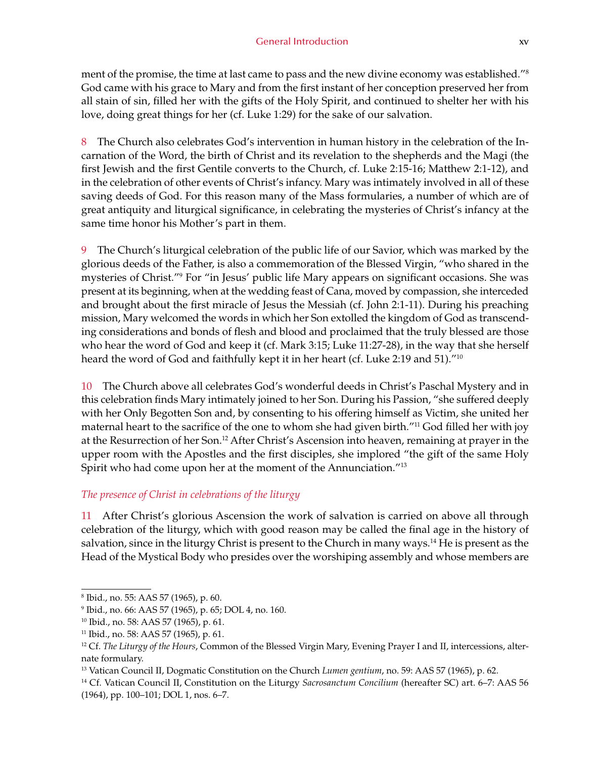ment of the promise, the time at last came to pass and the new divine economy was established."<sup>8</sup> God came with his grace to Mary and from the first instant of her conception preserved her from all stain of sin, filled her with the gifts of the Holy Spirit, and continued to shelter her with his love, doing great things for her (cf. Luke 1:29) for the sake of our salvation.

8 The Church also celebrates God's intervention in human history in the celebration of the Incarnation of the Word, the birth of Christ and its revelation to the shepherds and the Magi (the first Jewish and the first Gentile converts to the Church, cf. Luke 2:15-16; Matthew 2:1-12), and in the celebration of other events of Christ's infancy. Mary was intimately involved in all of these saving deeds of God. For this reason many of the Mass formularies, a number of which are of great antiquity and liturgical significance, in celebrating the mysteries of Christ's infancy at the same time honor his Mother's part in them.

9 The Church's liturgical celebration of the public life of our Savior, which was marked by the glorious deeds of the Father, is also a commemoration of the Blessed Virgin, "who shared in the mysteries of Christ."9 For "in Jesus' public life Mary appears on significant occasions. She was present at its beginning, when at the wedding feast of Cana, moved by compassion, she interceded and brought about the first miracle of Jesus the Messiah (cf. John 2:1-11). During his preaching mission, Mary welcomed the words in which her Son extolled the kingdom of God as transcending considerations and bonds of flesh and blood and proclaimed that the truly blessed are those who hear the word of God and keep it (cf. Mark 3:15; Luke 11:27-28), in the way that she herself heard the word of God and faithfully kept it in her heart (cf. Luke 2:19 and 51).<sup>"10</sup>

10 The Church above all celebrates God's wonderful deeds in Christ's Paschal Mystery and in this celebration finds Mary intimately joined to her Son. During his Passion, "she suffered deeply with her Only Begotten Son and, by consenting to his offering himself as Victim, she united her maternal heart to the sacrifice of the one to whom she had given birth."<sup>11</sup> God filled her with joy at the Resurrection of her Son.12 After Christ's Ascension into heaven, remaining at prayer in the upper room with the Apostles and the first disciples, she implored "the gift of the same Holy Spirit who had come upon her at the moment of the Annunciation."13

#### *The presence of Christ in celebrations of the liturgy*

11 After Christ's glorious Ascension the work of salvation is carried on above all through celebration of the liturgy, which with good reason may be called the final age in the history of salvation, since in the liturgy Christ is present to the Church in many ways.<sup>14</sup> He is present as the Head of the Mystical Body who presides over the worshiping assembly and whose members are

<sup>8</sup> Ibid., no. 55: AAS 57 (1965), p. 60.

<sup>9</sup> Ibid., no. 66: AAS 57 (1965), p. 65; DOL 4, no. 160.

<sup>10</sup> Ibid., no. 58: AAS 57 (1965), p. 61.

 $11$  Ibid., no. 58: AAS 57 (1965), p. 61.

<sup>&</sup>lt;sup>12</sup> Cf. *The Liturgy of the Hours*, Common of the Blessed Virgin Mary, Evening Prayer I and II, intercessions, alternate formulary.

<sup>13</sup> Vatican Council II, Dogmatic Constitution on the Church *Lumen gentium*, no. 59: AAS 57 (1965), p. 62.

<sup>14</sup> Cf. Vatican Council II, Constitution on the Liturgy *Sacrosanctum Concilium* (hereafter SC) art. 6–7: AAS 56 (1964), pp. 100–101; DOL 1, nos. 6–7.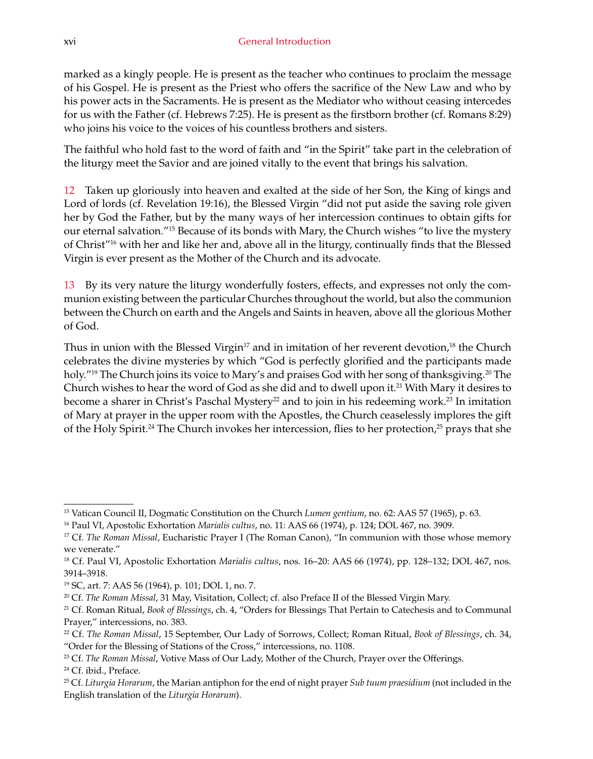marked as a kingly people. He is present as the teacher who continues to proclaim the message of his Gospel. He is present as the Priest who offers the sacrifice of the New Law and who by his power acts in the Sacraments. He is present as the Mediator who without ceasing intercedes for us with the Father (cf. Hebrews 7:25). He is present as the firstborn brother (cf. Romans 8:29) who joins his voice to the voices of his countless brothers and sisters.

The faithful who hold fast to the word of faith and "in the Spirit" take part in the celebration of the liturgy meet the Savior and are joined vitally to the event that brings his salvation.

12 Taken up gloriously into heaven and exalted at the side of her Son, the King of kings and Lord of lords (cf. Revelation 19:16), the Blessed Virgin "did not put aside the saving role given her by God the Father, but by the many ways of her intercession continues to obtain gifts for our eternal salvation."15 Because of its bonds with Mary, the Church wishes "to live the mystery of Christ"16 with her and like her and, above all in the liturgy, continually finds that the Blessed Virgin is ever present as the Mother of the Church and its advocate.

13 By its very nature the liturgy wonderfully fosters, effects, and expresses not only the communion existing between the particular Churches throughout the world, but also the communion between the Church on earth and the Angels and Saints in heaven, above all the glorious Mother of God.

Thus in union with the Blessed Virgin<sup>17</sup> and in imitation of her reverent devotion,<sup>18</sup> the Church celebrates the divine mysteries by which "God is perfectly glorified and the participants made holy."<sup>19</sup> The Church joins its voice to Mary's and praises God with her song of thanksgiving.<sup>20</sup> The Church wishes to hear the word of God as she did and to dwell upon it.<sup>21</sup> With Mary it desires to become a sharer in Christ's Paschal Mystery<sup>22</sup> and to join in his redeeming work.<sup>23</sup> In imitation of Mary at prayer in the upper room with the Apostles, the Church ceaselessly implores the gift of the Holy Spirit.<sup>24</sup> The Church invokes her intercession, flies to her protection,<sup>25</sup> prays that she

<sup>15</sup> Vatican Council II, Dogmatic Constitution on the Church *Lumen gentium*, no. 62: AAS 57 (1965), p. 63.

<sup>16</sup> Paul VI, Apostolic Exhortation *Marialis cultus*, no. 11: AAS 66 (1974), p. 124; DOL 467, no. 3909.

<sup>&</sup>lt;sup>17</sup> Cf. *The Roman Missal*, Eucharistic Prayer I (The Roman Canon), "In communion with those whose memory we venerate."

<sup>18</sup> Cf. Paul VI, Apostolic Exhortation *Marialis cultus*, nos. 16–20: AAS 66 (1974), pp. 128–132; DOL 467, nos. 3914–3918.

<sup>19</sup> SC, art. 7: AAS 56 (1964), p. 101; DOL 1, no. 7.

<sup>20</sup> Cf. *The Roman Missal*, 31 May, Visitation, Collect; cf. also Preface II of the Blessed Virgin Mary.

<sup>21</sup> Cf. Roman Ritual, *Book of Blessings*, ch. 4, "Orders for Blessings That Pertain to Catechesis and to Communal Prayer," intercessions, no. 383.

<sup>22</sup> Cf. *The Roman Missal*, 15 September, Our Lady of Sorrows, Collect; Roman Ritual, *Book of Blessings*, ch. 34, "Order for the Blessing of Stations of the Cross," intercessions, no. 1108.

<sup>23</sup> Cf. *The Roman Missal*, Votive Mass of Our Lady, Mother of the Church, Prayer over the Offerings.

<sup>24</sup> Cf. ibid., Preface.

<sup>25</sup> Cf. *Liturgia Horarum*, the Marian antiphon for the end of night prayer *Sub tuum praesidium* (not included in the English translation of the *Liturgia Horarum*).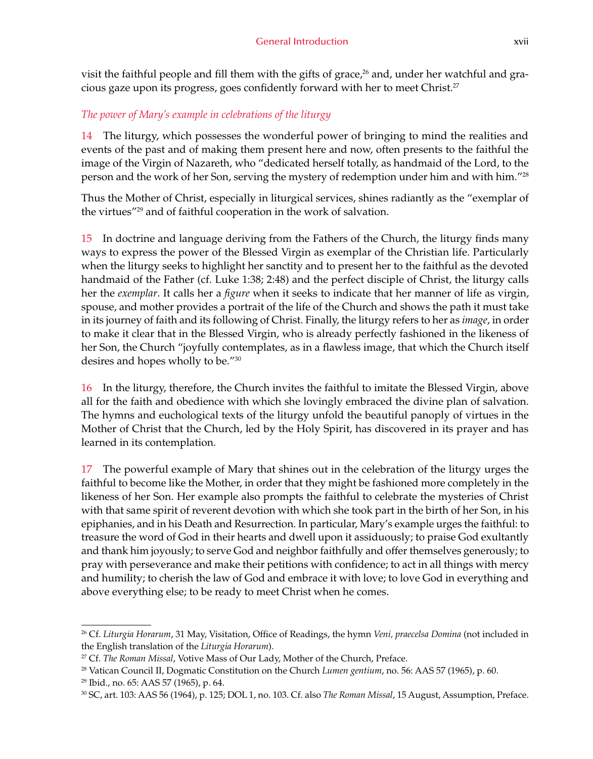visit the faithful people and fill them with the gifts of grace,<sup>26</sup> and, under her watchful and gracious gaze upon its progress, goes confidently forward with her to meet Christ.<sup>27</sup>

#### *The power of Mary's example in celebrations of the liturgy*

14 The liturgy, which possesses the wonderful power of bringing to mind the realities and events of the past and of making them present here and now, often presents to the faithful the image of the Virgin of Nazareth, who "dedicated herself totally, as handmaid of the Lord, to the person and the work of her Son, serving the mystery of redemption under him and with him."28

Thus the Mother of Christ, especially in liturgical services, shines radiantly as the "exemplar of the virtues"29 and of faithful cooperation in the work of salvation.

15 In doctrine and language deriving from the Fathers of the Church, the liturgy finds many ways to express the power of the Blessed Virgin as exemplar of the Christian life. Particularly when the liturgy seeks to highlight her sanctity and to present her to the faithful as the devoted handmaid of the Father (cf. Luke 1:38; 2:48) and the perfect disciple of Christ, the liturgy calls her the *exemplar*. It calls her a *figure* when it seeks to indicate that her manner of life as virgin, spouse, and mother provides a portrait of the life of the Church and shows the path it must take in its journey of faith and its following of Christ. Finally, the liturgy refers to her as *image*, in order to make it clear that in the Blessed Virgin, who is already perfectly fashioned in the likeness of her Son, the Church "joyfully contemplates, as in a flawless image, that which the Church itself desires and hopes wholly to be."30

16 In the liturgy, therefore, the Church invites the faithful to imitate the Blessed Virgin, above all for the faith and obedience with which she lovingly embraced the divine plan of salvation. The hymns and euchological texts of the liturgy unfold the beautiful panoply of virtues in the Mother of Christ that the Church, led by the Holy Spirit, has discovered in its prayer and has learned in its contemplation.

17 The powerful example of Mary that shines out in the celebration of the liturgy urges the faithful to become like the Mother, in order that they might be fashioned more completely in the likeness of her Son. Her example also prompts the faithful to celebrate the mysteries of Christ with that same spirit of reverent devotion with which she took part in the birth of her Son, in his epiphanies, and in his Death and Resurrection. In particular, Mary's example urges the faithful: to treasure the word of God in their hearts and dwell upon it assiduously; to praise God exultantly and thank him joyously; to serve God and neighbor faithfully and offer themselves generously; to pray with perseverance and make their petitions with confidence; to act in all things with mercy and humility; to cherish the law of God and embrace it with love; to love God in everything and above everything else; to be ready to meet Christ when he comes.

<sup>26</sup> Cf. *Liturgia Horarum*, 31 May, Visitation, Office of Readings, the hymn *Veni, praecelsa Domina* (not included in the English translation of the *Liturgia Horarum*).

<sup>27</sup> Cf. *The Roman Missal*, Votive Mass of Our Lady, Mother of the Church, Preface.

<sup>28</sup> Vatican Council II, Dogmatic Constitution on the Church *Lumen gentium*, no. 56: AAS 57 (1965), p. 60.

<sup>29</sup> Ibid., no. 65: AAS 57 (1965), p. 64.

<sup>30</sup> SC, art. 103: AAS 56 (1964), p. 125; DOL 1, no. 103. Cf. also *The Roman Missal*, 15 August, Assumption, Preface.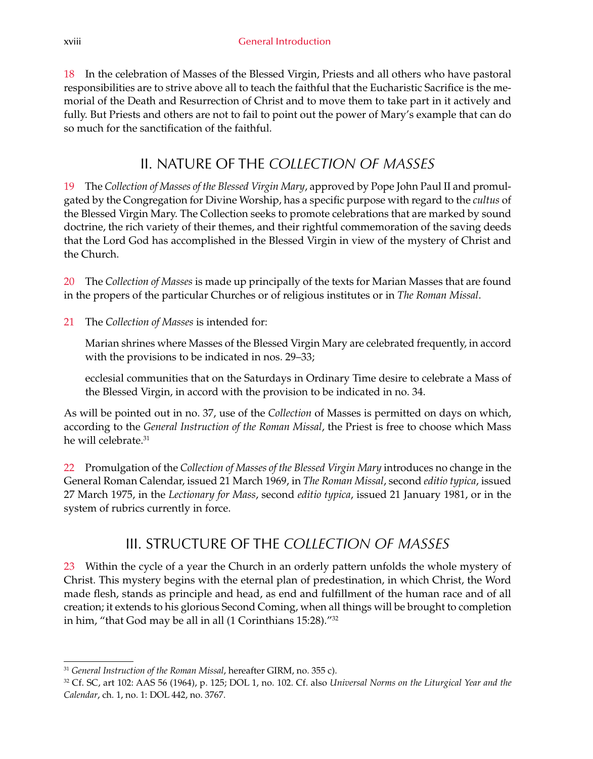18 In the celebration of Masses of the Blessed Virgin, Priests and all others who have pastoral responsibilities are to strive above all to teach the faithful that the Eucharistic Sacrifice is the memorial of the Death and Resurrection of Christ and to move them to take part in it actively and fully. But Priests and others are not to fail to point out the power of Mary's example that can do so much for the sanctification of the faithful.

## II. NATURE OF THE *COLLECTION OF MASSES*

19 The *Collection of Masses of the Blessed Virgin Mary*, approved by Pope John Paul II and promulgated by the Congregation for Divine Worship, has a specific purpose with regard to the *cultus* of the Blessed Virgin Mary. The Collection seeks to promote celebrations that are marked by sound doctrine, the rich variety of their themes, and their rightful commemoration of the saving deeds that the Lord God has accomplished in the Blessed Virgin in view of the mystery of Christ and the Church.

20 The *Collection of Masses* is made up principally of the texts for Marian Masses that are found in the propers of the particular Churches or of religious institutes or in *The Roman Missal*.

21 The *Collection of Masses* is intended for:

Marian shrines where Masses of the Blessed Virgin Mary are celebrated frequently, in accord with the provisions to be indicated in nos. 29–33;

ecclesial communities that on the Saturdays in Ordinary Time desire to celebrate a Mass of the Blessed Virgin, in accord with the provision to be indicated in no. 34.

As will be pointed out in no. 37, use of the *Collection* of Masses is permitted on days on which, according to the *General Instruction of the Roman Missal*, the Priest is free to choose which Mass he will celebrate.31

22 Promulgation of the *Collection of Masses of the Blessed Virgin Mary* introduces no change in the General Roman Calendar, issued 21 March 1969, in *The Roman Missal*, second *editio typica*, issued 27 March 1975, in the *Lectionary for Mass*, second *editio typica*, issued 21 January 1981, or in the system of rubrics currently in force.

## III. STRUCTURE OF THE *COLLECTION OF MASSES*

23 Within the cycle of a year the Church in an orderly pattern unfolds the whole mystery of Christ. This mystery begins with the eternal plan of predestination, in which Christ, the Word made flesh, stands as principle and head, as end and fulfillment of the human race and of all creation; it extends to his glorious Second Coming, when all things will be brought to completion in him, "that God may be all in all (1 Corinthians 15:28)."32

<sup>31</sup> *General Instruction of the Roman Missal*, hereafter GIRM, no. 355 c).

<sup>32</sup> Cf. SC, art 102: AAS 56 (1964), p. 125; DOL 1, no. 102. Cf. also *Universal Norms on the Liturgical Year and the Calendar*, ch. 1, no. 1: DOL 442, no. 3767.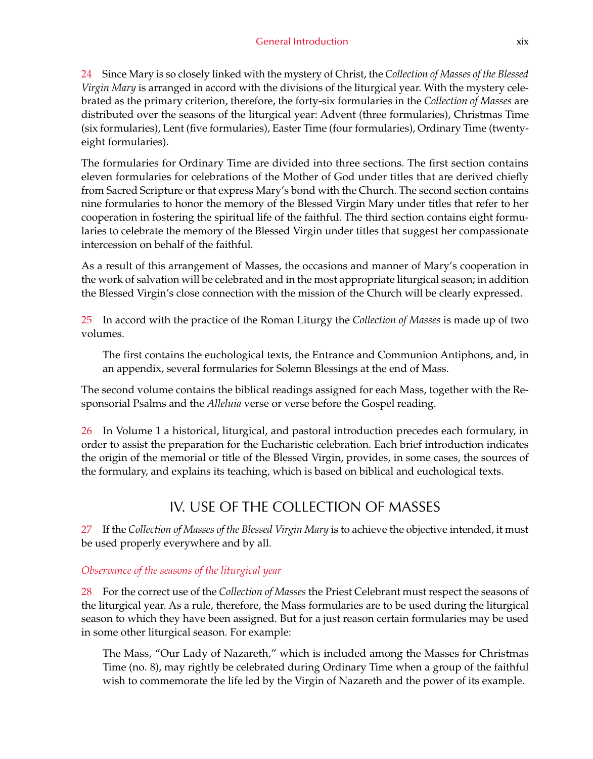24 Since Mary is so closely linked with the mystery of Christ, the *Collection of Masses of the Blessed Virgin Mary* is arranged in accord with the divisions of the liturgical year. With the mystery celebrated as the primary criterion, therefore, the forty-six formularies in the *Collection of Masses* are distributed over the seasons of the liturgical year: Advent (three formularies), Christmas Time (six formularies), Lent (five formularies), Easter Time (four formularies), Ordinary Time (twentyeight formularies).

The formularies for Ordinary Time are divided into three sections. The first section contains eleven formularies for celebrations of the Mother of God under titles that are derived chiefly from Sacred Scripture or that express Mary's bond with the Church. The second section contains nine formularies to honor the memory of the Blessed Virgin Mary under titles that refer to her cooperation in fostering the spiritual life of the faithful. The third section contains eight formularies to celebrate the memory of the Blessed Virgin under titles that suggest her compassionate intercession on behalf of the faithful.

As a result of this arrangement of Masses, the occasions and manner of Mary's cooperation in the work of salvation will be celebrated and in the most appropriate liturgical season; in addition the Blessed Virgin's close connection with the mission of the Church will be clearly expressed.

25 In accord with the practice of the Roman Liturgy the *Collection of Masses* is made up of two volumes.

The first contains the euchological texts, the Entrance and Communion Antiphons, and, in an appendix, several formularies for Solemn Blessings at the end of Mass.

The second volume contains the biblical readings assigned for each Mass, together with the Responsorial Psalms and the *Alleluia* verse or verse before the Gospel reading.

26 In Volume 1 a historical, liturgical, and pastoral introduction precedes each formulary, in order to assist the preparation for the Eucharistic celebration. Each brief introduction indicates the origin of the memorial or title of the Blessed Virgin, provides, in some cases, the sources of the formulary, and explains its teaching, which is based on biblical and euchological texts.

## IV. USE OF THE COLLECTION OF MASSES

27 If the *Collection of Masses of the Blessed Virgin Mary* is to achieve the objective intended, it must be used properly everywhere and by all.

#### *Observance of the seasons of the liturgical year*

28 For the correct use of the *Collection of Masses* the Priest Celebrant must respect the seasons of the liturgical year. As a rule, therefore, the Mass formularies are to be used during the liturgical season to which they have been assigned. But for a just reason certain formularies may be used in some other liturgical season. For example:

The Mass, "Our Lady of Nazareth," which is included among the Masses for Christmas Time (no. 8), may rightly be celebrated during Ordinary Time when a group of the faithful wish to commemorate the life led by the Virgin of Nazareth and the power of its example.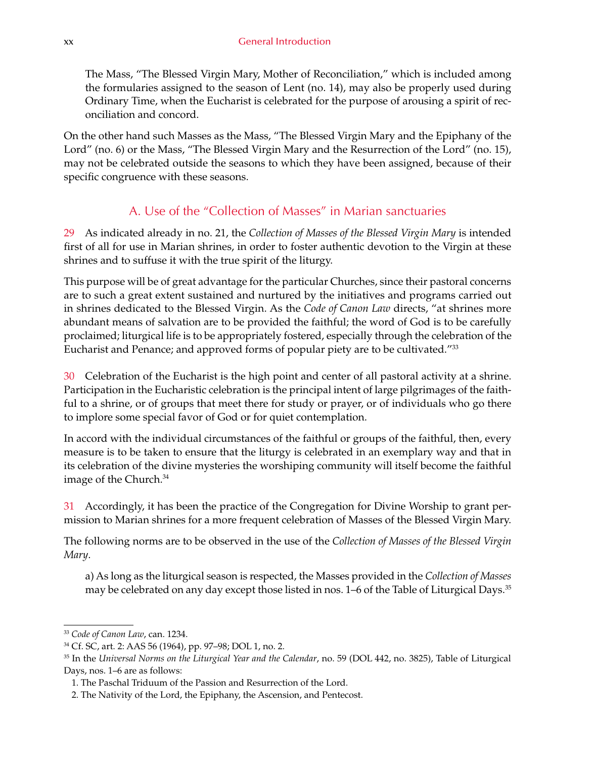The Mass, "The Blessed Virgin Mary, Mother of Reconciliation," which is included among the formularies assigned to the season of Lent (no. 14), may also be properly used during Ordinary Time, when the Eucharist is celebrated for the purpose of arousing a spirit of reconciliation and concord.

On the other hand such Masses as the Mass, "The Blessed Virgin Mary and the Epiphany of the Lord" (no. 6) or the Mass, "The Blessed Virgin Mary and the Resurrection of the Lord" (no. 15), may not be celebrated outside the seasons to which they have been assigned, because of their specific congruence with these seasons.

#### A. Use of the "Collection of Masses" in Marian sanctuaries

29 As indicated already in no. 21, the *Collection of Masses of the Blessed Virgin Mary* is intended first of all for use in Marian shrines, in order to foster authentic devotion to the Virgin at these shrines and to suffuse it with the true spirit of the liturgy.

This purpose will be of great advantage for the particular Churches, since their pastoral concerns are to such a great extent sustained and nurtured by the initiatives and programs carried out in shrines dedicated to the Blessed Virgin. As the *Code of Canon Law* directs, "at shrines more abundant means of salvation are to be provided the faithful; the word of God is to be carefully proclaimed; liturgical life is to be appropriately fostered, especially through the celebration of the Eucharist and Penance; and approved forms of popular piety are to be cultivated."<sup>33</sup>

30 Celebration of the Eucharist is the high point and center of all pastoral activity at a shrine. Participation in the Eucharistic celebration is the principal intent of large pilgrimages of the faithful to a shrine, or of groups that meet there for study or prayer, or of individuals who go there to implore some special favor of God or for quiet contemplation.

In accord with the individual circumstances of the faithful or groups of the faithful, then, every measure is to be taken to ensure that the liturgy is celebrated in an exemplary way and that in its celebration of the divine mysteries the worshiping community will itself become the faithful image of the Church.<sup>34</sup>

31 Accordingly, it has been the practice of the Congregation for Divine Worship to grant permission to Marian shrines for a more frequent celebration of Masses of the Blessed Virgin Mary.

The following norms are to be observed in the use of the *Collection of Masses of the Blessed Virgin Mary*.

a) As long as the liturgical season is respected, the Masses provided in the *Collection of Masses* may be celebrated on any day except those listed in nos. 1–6 of the Table of Liturgical Days.<sup>35</sup>

<sup>33</sup> *Code of Canon Law*, can. 1234.

<sup>34</sup> Cf. SC, art. 2: AAS 56 (1964), pp. 97–98; DOL 1, no. 2.

<sup>35</sup> In the *Universal Norms on the Liturgical Year and the Calendar*, no. 59 (DOL 442, no. 3825), Table of Liturgical Days, nos. 1–6 are as follows:

<sup>1.</sup> The Paschal Triduum of the Passion and Resurrection of the Lord.

<sup>2.</sup> The Nativity of the Lord, the Epiphany, the Ascension, and Pentecost.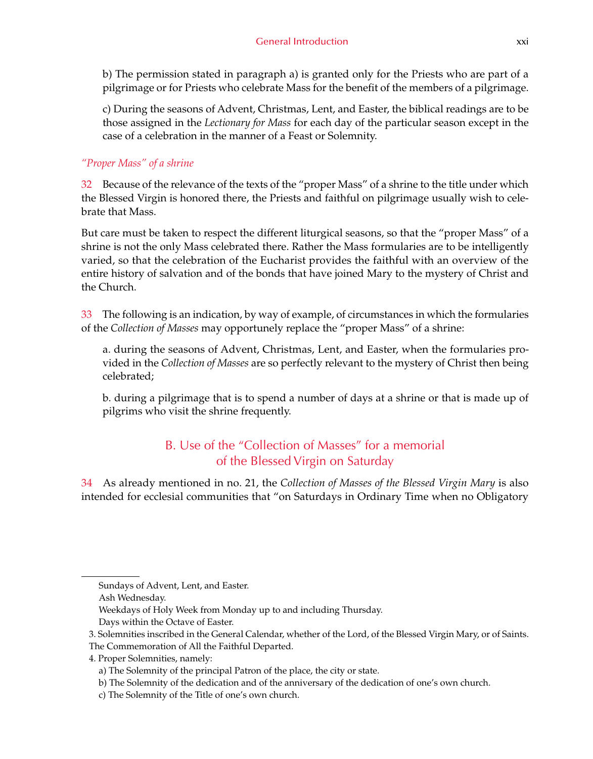b) The permission stated in paragraph a) is granted only for the Priests who are part of a pilgrimage or for Priests who celebrate Mass for the benefit of the members of a pilgrimage.

c) During the seasons of Advent, Christmas, Lent, and Easter, the biblical readings are to be those assigned in the *Lectionary for Mass* for each day of the particular season except in the case of a celebration in the manner of a Feast or Solemnity.

#### *"Proper Mass" of a shrine*

32 Because of the relevance of the texts of the "proper Mass" of a shrine to the title under which the Blessed Virgin is honored there, the Priests and faithful on pilgrimage usually wish to celebrate that Mass.

But care must be taken to respect the different liturgical seasons, so that the "proper Mass" of a shrine is not the only Mass celebrated there. Rather the Mass formularies are to be intelligently varied, so that the celebration of the Eucharist provides the faithful with an overview of the entire history of salvation and of the bonds that have joined Mary to the mystery of Christ and the Church.

33 The following is an indication, by way of example, of circumstances in which the formularies of the *Collection of Masses* may opportunely replace the "proper Mass" of a shrine:

a. during the seasons of Advent, Christmas, Lent, and Easter, when the formularies provided in the *Collection of Masses* are so perfectly relevant to the mystery of Christ then being celebrated;

b. during a pilgrimage that is to spend a number of days at a shrine or that is made up of pilgrims who visit the shrine frequently.

### B. Use of the "Collection of Masses" for a memorial of the Blessed Virgin on Saturday

34 As already mentioned in no. 21, the *Collection of Masses of the Blessed Virgin Mary* is also intended for ecclesial communities that "on Saturdays in Ordinary Time when no Obligatory

4. Proper Solemnities, namely:

Sundays of Advent, Lent, and Easter.

Ash Wednesday.

Weekdays of Holy Week from Monday up to and including Thursday.

Days within the Octave of Easter.

<sup>3.</sup> Solemnities inscribed in the General Calendar, whether of the Lord, of the Blessed Virgin Mary, or of Saints.

The Commemoration of All the Faithful Departed.

a) The Solemnity of the principal Patron of the place, the city or state.

b) The Solemnity of the dedication and of the anniversary of the dedication of one's own church.

c) The Solemnity of the Title of one's own church.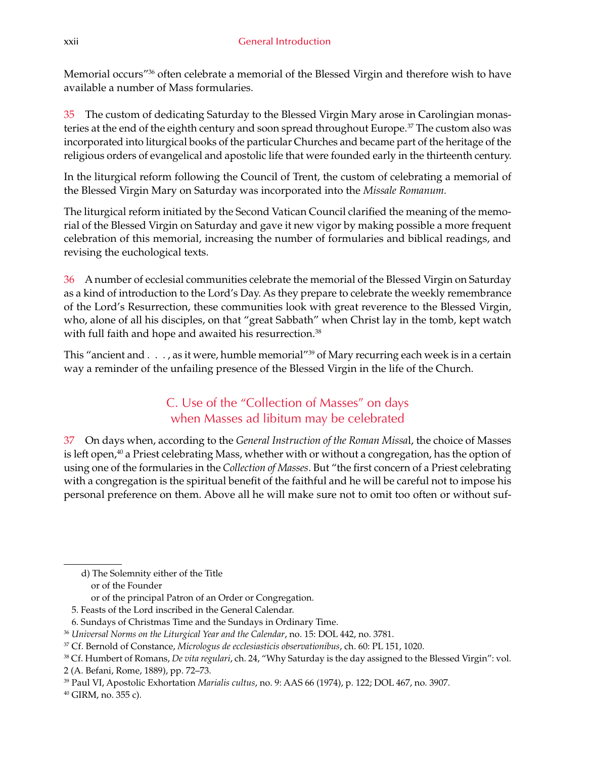Memorial occurs"36 often celebrate a memorial of the Blessed Virgin and therefore wish to have available a number of Mass formularies.

35 The custom of dedicating Saturday to the Blessed Virgin Mary arose in Carolingian monasteries at the end of the eighth century and soon spread throughout Europe.<sup>37</sup> The custom also was incorporated into liturgical books of the particular Churches and became part of the heritage of the religious orders of evangelical and apostolic life that were founded early in the thirteenth century.

In the liturgical reform following the Council of Trent, the custom of celebrating a memorial of the Blessed Virgin Mary on Saturday was incorporated into the *Missale Romanum.*

The liturgical reform initiated by the Second Vatican Council clarified the meaning of the memorial of the Blessed Virgin on Saturday and gave it new vigor by making possible a more frequent celebration of this memorial, increasing the number of formularies and biblical readings, and revising the euchological texts.

36 A number of ecclesial communities celebrate the memorial of the Blessed Virgin on Saturday as a kind of introduction to the Lord's Day. As they prepare to celebrate the weekly remembrance of the Lord's Resurrection, these communities look with great reverence to the Blessed Virgin, who, alone of all his disciples, on that "great Sabbath" when Christ lay in the tomb, kept watch with full faith and hope and awaited his resurrection.<sup>38</sup>

This "ancient and . . ., as it were, humble memorial"<sup>39</sup> of Mary recurring each week is in a certain way a reminder of the unfailing presence of the Blessed Virgin in the life of the Church.

## C. Use of the "Collection of Masses" on days when Masses ad libitum may be celebrated

37 On days when, according to the *General Instruction of the Roman Missa*l, the choice of Masses is left open,<sup>40</sup> a Priest celebrating Mass, whether with or without a congregation, has the option of using one of the formularies in the *Collection of Masses*. But "the first concern of a Priest celebrating with a congregation is the spiritual benefit of the faithful and he will be careful not to impose his personal preference on them. Above all he will make sure not to omit too often or without suf-

5. Feasts of the Lord inscribed in the General Calendar.

40 GIRM, no. 355 c).

d) The Solemnity either of the Title

or of the Founder

or of the principal Patron of an Order or Congregation.

<sup>6.</sup> Sundays of Christmas Time and the Sundays in Ordinary Time.

<sup>36</sup> *Universal Norms on the Liturgical Year and the Calendar*, no. 15: DOL 442, no. 3781.

<sup>37</sup> Cf. Bernold of Constance, *Micrologus de ecclesiasticis observationibus*, ch. 60: PL 151, 1020.

<sup>38</sup> Cf. Humbert of Romans, *De vita regulari*, ch. 24, "Why Saturday is the day assigned to the Blessed Virgin": vol.

<sup>2 (</sup>A. Befani, Rome, 1889), pp. 72–73.

<sup>39</sup> Paul VI, Apostolic Exhortation *Marialis cultus*, no. 9: AAS 66 (1974), p. 122; DOL 467, no. 3907.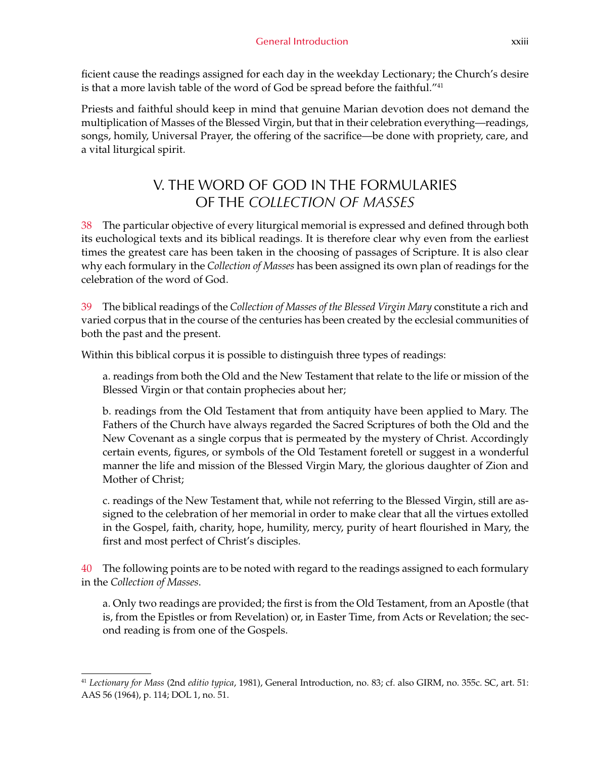ficient cause the readings assigned for each day in the weekday Lectionary; the Church's desire is that a more lavish table of the word of God be spread before the faithful."<sup>41</sup>

Priests and faithful should keep in mind that genuine Marian devotion does not demand the multiplication of Masses of the Blessed Virgin, but that in their celebration everything—readings, songs, homily, Universal Prayer, the offering of the sacrifice—be done with propriety, care, and a vital liturgical spirit.

## V. THE WORD OF GOD IN THE FORMULARIES OF THE *COLLECTION OF MASSES*

38 The particular objective of every liturgical memorial is expressed and defined through both its euchological texts and its biblical readings. It is therefore clear why even from the earliest times the greatest care has been taken in the choosing of passages of Scripture. It is also clear why each formulary in the *Collection of Masses* has been assigned its own plan of readings for the celebration of the word of God.

39 The biblical readings of the *Collection of Masses of the Blessed Virgin Mary* constitute a rich and varied corpus that in the course of the centuries has been created by the ecclesial communities of both the past and the present.

Within this biblical corpus it is possible to distinguish three types of readings:

a. readings from both the Old and the New Testament that relate to the life or mission of the Blessed Virgin or that contain prophecies about her;

b. readings from the Old Testament that from antiquity have been applied to Mary. The Fathers of the Church have always regarded the Sacred Scriptures of both the Old and the New Covenant as a single corpus that is permeated by the mystery of Christ. Accordingly certain events, figures, or symbols of the Old Testament foretell or suggest in a wonderful manner the life and mission of the Blessed Virgin Mary, the glorious daughter of Zion and Mother of Christ;

c. readings of the New Testament that, while not referring to the Blessed Virgin, still are assigned to the celebration of her memorial in order to make clear that all the virtues extolled in the Gospel, faith, charity, hope, humility, mercy, purity of heart flourished in Mary, the first and most perfect of Christ's disciples.

40 The following points are to be noted with regard to the readings assigned to each formulary in the *Collection of Masses*.

a. Only two readings are provided; the first is from the Old Testament, from an Apostle (that is, from the Epistles or from Revelation) or, in Easter Time, from Acts or Revelation; the second reading is from one of the Gospels.

<sup>41</sup> *Lectionary for Mass* (2nd *editio typica*, 1981), General Introduction, no. 83; cf. also GIRM, no. 355c. SC, art. 51: AAS 56 (1964), p. 114; DOL 1, no. 51.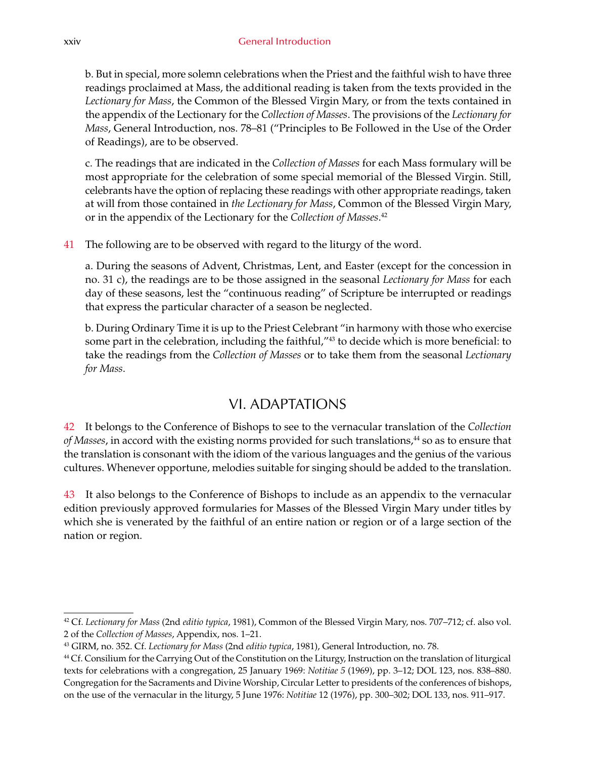b. But in special, more solemn celebrations when the Priest and the faithful wish to have three readings proclaimed at Mass, the additional reading is taken from the texts provided in the *Lectionary for Mass*, the Common of the Blessed Virgin Mary, or from the texts contained in the appendix of the Lectionary for the *Collection of Masses*. The provisions of the *Lectionary for Mass*, General Introduction, nos. 78–81 ("Principles to Be Followed in the Use of the Order of Readings), are to be observed.

c. The readings that are indicated in the *Collection of Masses* for each Mass formulary will be most appropriate for the celebration of some special memorial of the Blessed Virgin. Still, celebrants have the option of replacing these readings with other appropriate readings, taken at will from those contained in *the Lectionary for Mass*, Common of the Blessed Virgin Mary, or in the appendix of the Lectionary for the *Collection of Masses*. 42

41 The following are to be observed with regard to the liturgy of the word.

a. During the seasons of Advent, Christmas, Lent, and Easter (except for the concession in no. 31 c), the readings are to be those assigned in the seasonal *Lectionary for Mass* for each day of these seasons, lest the "continuous reading" of Scripture be interrupted or readings that express the particular character of a season be neglected.

b. During Ordinary Time it is up to the Priest Celebrant "in harmony with those who exercise some part in the celebration, including the faithful,"<sup>43</sup> to decide which is more beneficial: to take the readings from the *Collection of Masses* or to take them from the seasonal *Lectionary for Mass*.

## VI. ADAPTATIONS

42 It belongs to the Conference of Bishops to see to the vernacular translation of the *Collection of Masses*, in accord with the existing norms provided for such translations,<sup>44</sup> so as to ensure that the translation is consonant with the idiom of the various languages and the genius of the various cultures. Whenever opportune, melodies suitable for singing should be added to the translation.

43 It also belongs to the Conference of Bishops to include as an appendix to the vernacular edition previously approved formularies for Masses of the Blessed Virgin Mary under titles by which she is venerated by the faithful of an entire nation or region or of a large section of the nation or region.

<sup>42</sup> Cf. *Lectionary for Mass* (2nd *editio typica*, 1981), Common of the Blessed Virgin Mary, nos. 707–712; cf. also vol. 2 of the *Collection of Masses*, Appendix, nos. 1–21.

<sup>43</sup> GIRM, no. 352. Cf. *Lectionary for Mass* (2nd *editio typica*, 1981), General Introduction, no. 78.

<sup>44</sup> Cf. Consilium for the Carrying Out of the Constitution on the Liturgy, Instruction on the translation of liturgical texts for celebrations with a congregation, 25 January 1969: *Notitiae 5* (1969), pp. 3–12; DOL 123, nos. 838–880. Congregation for the Sacraments and Divine Worship, Circular Letter to presidents of the conferences of bishops, on the use of the vernacular in the liturgy, 5 June 1976: *Notitiae* 12 (1976), pp. 300–302; DOL 133, nos. 911–917.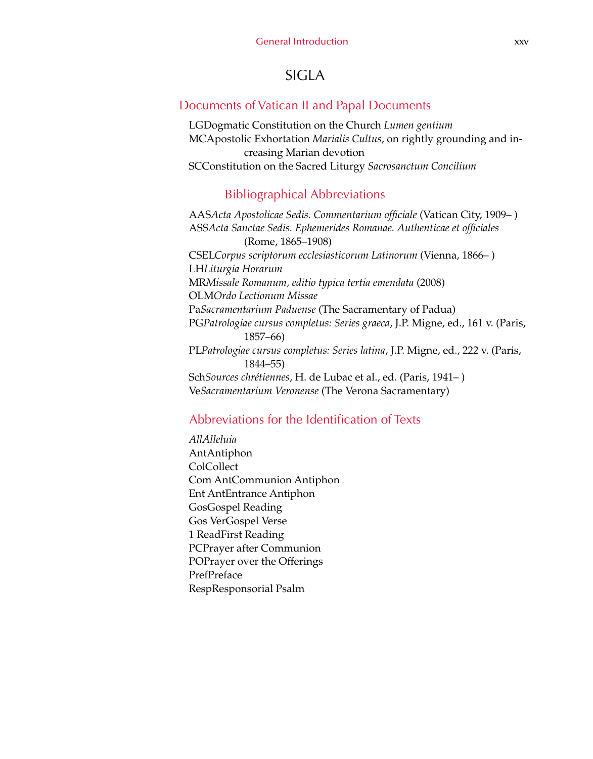## SIGLA

#### Documents of Vatican II and Papal Documents

LGDogmatic Constitution on the Church *Lumen gentium* MCApostolic Exhortation *Marialis Cultus*, on rightly grounding and increasing Marian devotion SCConstitution on the Sacred Liturgy *Sacrosanctum Concilium*

#### Bibliographical Abbreviations

AAS*Acta Apostolicae Sedis. Commentarium officiale* (Vatican City, 1909– ) ASS*Acta Sanctae Sedis. Ephemerides Romanae. Authenticae et officiales* (Rome, 1865–1908) CSEL*Corpus scriptorum ecclesiasticorum Latinorum* (Vienna, 1866– ) LH*Liturgia Horarum* MR*Missale Romanum, editio typica tertia emendata* (2008) OLM*Ordo Lectionum Missae* Pa*Sacramentarium Paduense* (The Sacramentary of Padua) PG*Patrologiae cursus completus: Series graeca*, J.P. Migne, ed., 161 v. (Paris, 1857–66) PL*Patrologiae cursus completus: Series latina*, J.P. Migne, ed., 222 v. (Paris, 1844–55) Sch*Sources chrétiennes*, H. de Lubac et al., ed. (Paris, 1941– ) Ve*Sacramentarium Veronense* (The Verona Sacramentary)

#### Abbreviations for the Identification of Texts

*AllAlleluia* AntAntiphon **ColCollect** Com AntCommunion Antiphon Ent AntEntrance Antiphon GosGospel Reading Gos VerGospel Verse 1 ReadFirst Reading PCPrayer after Communion POPrayer over the Offerings PrefPreface RespResponsorial Psalm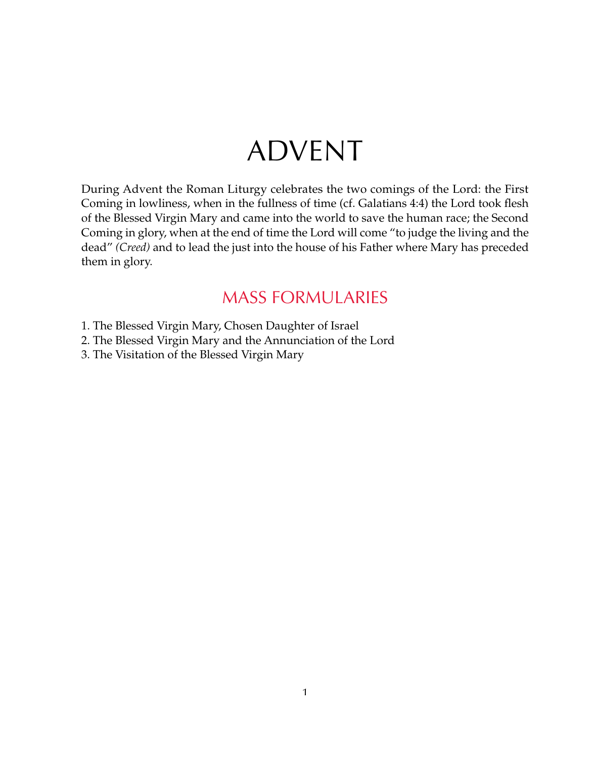## ADVENT

During Advent the Roman Liturgy celebrates the two comings of the Lord: the First Coming in lowliness, when in the fullness of time (cf. Galatians 4:4) the Lord took flesh of the Blessed Virgin Mary and came into the world to save the human race; the Second Coming in glory, when at the end of time the Lord will come "to judge the living and the dead" *(Creed)* and to lead the just into the house of his Father where Mary has preceded them in glory.

## MASS FORMULARIES

- 1. The Blessed Virgin Mary, Chosen Daughter of Israel
- 2. The Blessed Virgin Mary and the Annunciation of the Lord
- 3. The Visitation of the Blessed Virgin Mary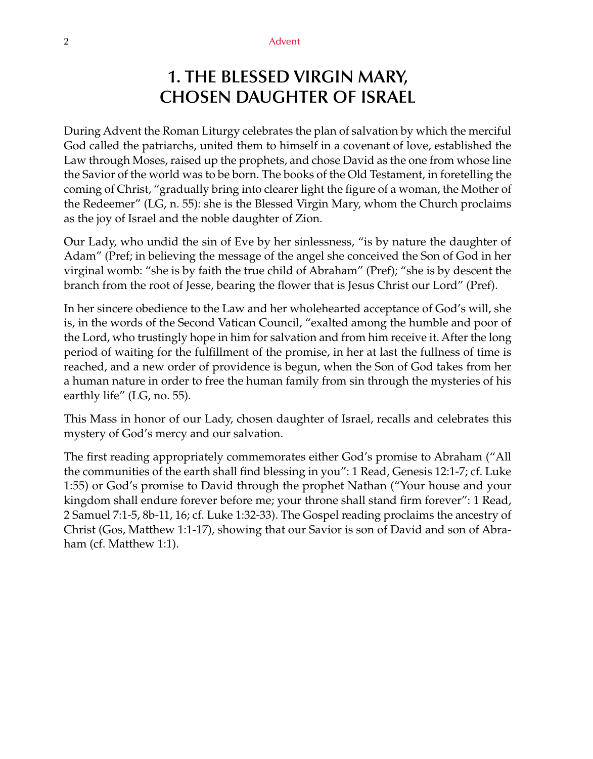## **1. THE BLESSED VIRGIN MARY, CHOSEN DAUGHTER OF ISRAEL**

During Advent the Roman Liturgy celebrates the plan of salvation by which the merciful God called the patriarchs, united them to himself in a covenant of love, established the Law through Moses, raised up the prophets, and chose David as the one from whose line the Savior of the world was to be born. The books of the Old Testament, in foretelling the coming of Christ, "gradually bring into clearer light the figure of a woman, the Mother of the Redeemer" (LG, n. 55): she is the Blessed Virgin Mary, whom the Church proclaims as the joy of Israel and the noble daughter of Zion.

Our Lady, who undid the sin of Eve by her sinlessness, "is by nature the daughter of Adam" (Pref; in believing the message of the angel she conceived the Son of God in her virginal womb: "she is by faith the true child of Abraham" (Pref); "she is by descent the branch from the root of Jesse, bearing the flower that is Jesus Christ our Lord" (Pref).

In her sincere obedience to the Law and her wholehearted acceptance of God's will, she is, in the words of the Second Vatican Council, "exalted among the humble and poor of the Lord, who trustingly hope in him for salvation and from him receive it. After the long period of waiting for the fulfillment of the promise, in her at last the fullness of time is reached, and a new order of providence is begun, when the Son of God takes from her a human nature in order to free the human family from sin through the mysteries of his earthly life" (LG, no. 55).

This Mass in honor of our Lady, chosen daughter of Israel, recalls and celebrates this mystery of God's mercy and our salvation.

The first reading appropriately commemorates either God's promise to Abraham ("All the communities of the earth shall find blessing in you": 1 Read, Genesis 12:1-7; cf. Luke 1:55) or God's promise to David through the prophet Nathan ("Your house and your kingdom shall endure forever before me; your throne shall stand firm forever": 1 Read, 2 Samuel 7:1-5, 8b-11, 16; cf. Luke 1:32-33). The Gospel reading proclaims the ancestry of Christ (Gos, Matthew 1:1-17), showing that our Savior is son of David and son of Abraham (cf. Matthew 1:1).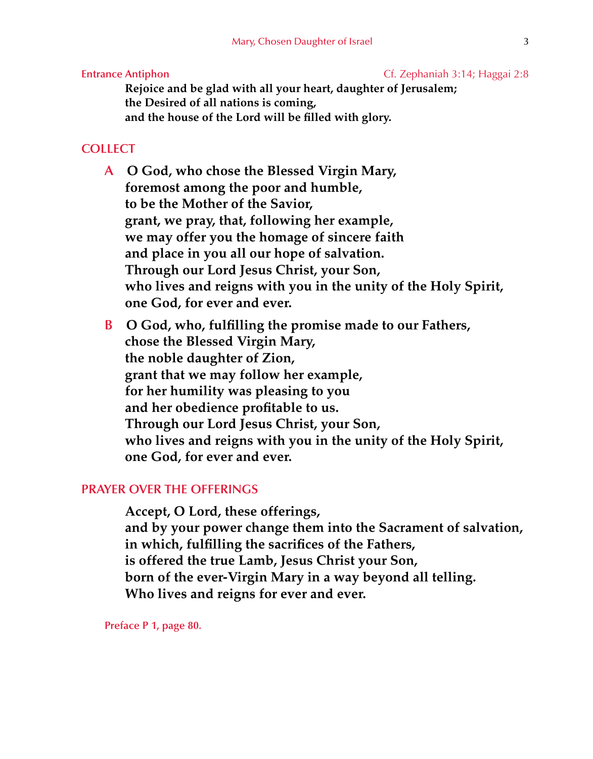**Entrance Antiphon** Cf. Zephaniah 3:14; Haggai 2:8

**Rejoice and be glad with all your heart, daughter of Jerusalem; the Desired of all nations is coming, and the house of the Lord will be filled with glory.**

#### **COLLECT**

**A O God, who chose the Blessed Virgin Mary, foremost among the poor and humble, to be the Mother of the Savior, grant, we pray, that, following her example, we may offer you the homage of sincere faith and place in you all our hope of salvation. Through our Lord Jesus Christ, your Son, who lives and reigns with you in the unity of the Holy Spirit, one God, for ever and ever.**

**B O God, who, fulfilling the promise made to our Fathers, chose the Blessed Virgin Mary, the noble daughter of Zion, grant that we may follow her example, for her humility was pleasing to you and her obedience profitable to us. Through our Lord Jesus Christ, your Son, who lives and reigns with you in the unity of the Holy Spirit, one God, for ever and ever.**

#### **PRAYER OVER THE OFFERINGS**

**Accept, O Lord, these offerings, and by your power change them into the Sacrament of salvation, in which, fulfilling the sacrifices of the Fathers, is offered the true Lamb, Jesus Christ your Son, born of the ever-Virgin Mary in a way beyond all telling. Who lives and reigns for ever and ever.**

**Preface P 1, page 80.**